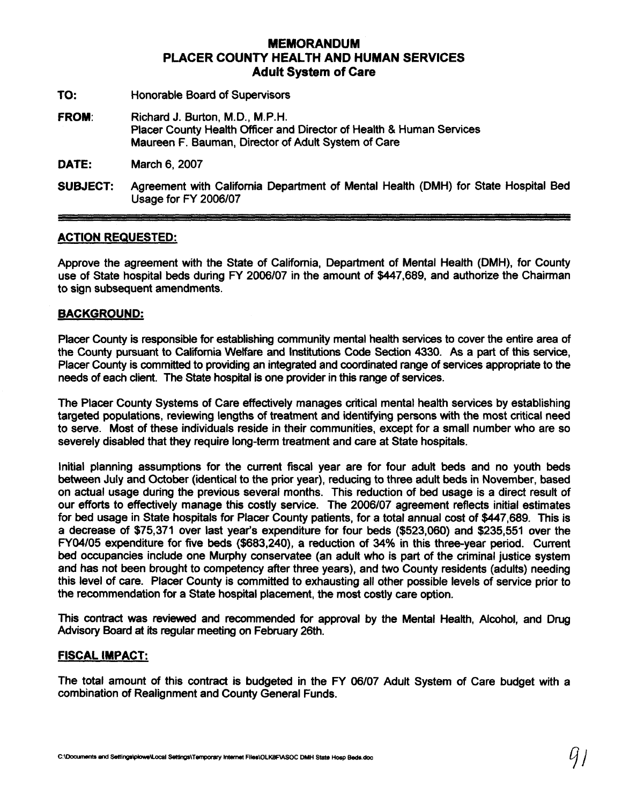## **MEMORANDUM PLACER COUNTY HEALTH AND HUMAN SERVICES Adult System of Care**

- **TO:**  Honorable Board of Supervisors
- **FROM:**  Richard J. Burton, M.D., M.P.H. Placer County Health Officer and Director of Health & Human Services Maureen F. Bauman, Director of Adult System of Care
- **DATE:** March 6,2007
- **SUBJECT:** Agreement with California Department of Mental Health (DMH) for State Hospital Bed Usage for FY 2006107

### **ACTION REQUESTED:**

Approve the agreement with the State of California, Department of Mental Health (DMH), for County use of State hospital beds during **FY** 2006107 in the amount of \$447,689, and authorize the Chairman to sign subsequent amendments.

### **BACKGROUND:**

Placer County is responsible for establishing community mental health services to cover the entire area of the County pursuant to California Welfare and Institutions Code Section 4330. As a part of this service, Placer County is committed to providing an integrated and coordinated range of services appropriate to the needs of each client. The State hospital is one provider in this range of services.

The Placer County Systems of Care effectively manages critical mental health services by establishing targeted populations, reviewing lengths of treatment and identifying persons with the most critical need to serve. Most of these individuals reside in their communities, except for a small number who are so severely disabled that they require long-term treatment and care at State hospitals.

Initial planning assumptions for the current fiscal year are for four adult beds and no youth beds between July and October (identical to the prior year), reducing to three adult beds in November, based on actual usage during the previous several months. This reduction of bed usage is a direct result of our efforts to effectively manage this costly service. The 2006107 agreement reflects initial estimates for bed usage in State hospitals for Placer County patients, for a total annual cost of \$447,689. This is a decrease of \$75,371 over last year's expenditure for four beds (\$523,060) and \$235,551 over the FY04105 expenditure for five beds (\$683,240), a reduction of 34% in this three-year period. Current bed occupancies include one Murphy conservatee (an adult who is part of the criminal justice system and has not been brought to competency after three years), and two County residents (adults) needing this level of care. Placer County is committed to exhausting all other possible levels of service prior to the recommendation for a State hospital placement, the most costly care option.

This contract was reviewed and recommended for approval by the Mental Health, Alcohol, and Drug Advisory Board at its regular meeting on February 26th.

### **FISCAL IMPACT:**

The total amount of this contract is budgeted in the FY 06107 Adult System of Care budget with a combination of Realignment and County General Funds.